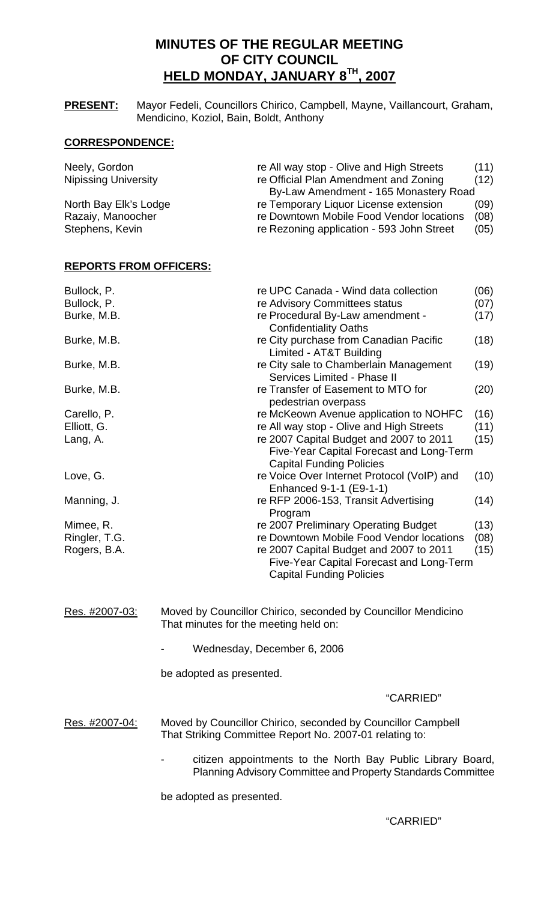# **MINUTES OF THE REGULAR MEETING OF CITY COUNCIL HELD MONDAY, JANUARY 8TH, 2007**

**PRESENT:** Mayor Fedeli, Councillors Chirico, Campbell, Mayne, Vaillancourt, Graham, Mendicino, Koziol, Bain, Boldt, Anthony

## **CORRESPONDENCE:**

| Neely, Gordon               | re All way stop - Olive and High Streets  | (11) |
|-----------------------------|-------------------------------------------|------|
| <b>Nipissing University</b> | re Official Plan Amendment and Zoning     | (12) |
|                             | By-Law Amendment - 165 Monastery Road     |      |
| North Bay Elk's Lodge       | re Temporary Liquor License extension     | (09) |
| Razaiy, Manoocher           | re Downtown Mobile Food Vendor locations  | (08) |
| Stephens, Kevin             | re Rezoning application - 593 John Street | (05) |

### **REPORTS FROM OFFICERS:**

| Bullock, P.    | re UPC Canada - Wind data collection                                                                                   | (06) |
|----------------|------------------------------------------------------------------------------------------------------------------------|------|
| Bullock, P.    | re Advisory Committees status                                                                                          | (07) |
| Burke, M.B.    | re Procedural By-Law amendment -<br><b>Confidentiality Oaths</b>                                                       | (17) |
| Burke, M.B.    | re City purchase from Canadian Pacific<br>Limited - AT&T Building                                                      | (18) |
| Burke, M.B.    | re City sale to Chamberlain Management<br>Services Limited - Phase II                                                  | (19) |
| Burke, M.B.    | re Transfer of Easement to MTO for<br>pedestrian overpass                                                              | (20) |
| Carello, P.    | re McKeown Avenue application to NOHFC                                                                                 | (16) |
| Elliott, G.    | re All way stop - Olive and High Streets                                                                               | (11) |
| Lang, A.       | re 2007 Capital Budget and 2007 to 2011                                                                                | (15) |
|                | Five-Year Capital Forecast and Long-Term<br><b>Capital Funding Policies</b>                                            |      |
| Love, G.       | re Voice Over Internet Protocol (VoIP) and<br>Enhanced 9-1-1 (E9-1-1)                                                  | (10) |
| Manning, J.    | re RFP 2006-153, Transit Advertising<br>Program                                                                        | (14) |
| Mimee, R.      | re 2007 Preliminary Operating Budget                                                                                   | (13) |
| Ringler, T.G.  | re Downtown Mobile Food Vendor locations                                                                               | (08) |
| Rogers, B.A.   | re 2007 Capital Budget and 2007 to 2011<br>Five-Year Capital Forecast and Long-Term<br><b>Capital Funding Policies</b> | (15) |
| Res. #2007-03: | Moved by Councillor Chirico, seconded by Councillor Mendicino                                                          |      |

That minutes for the meeting held on:

Wednesday, December 6, 2006

be adopted as presented.

#### "CARRIED"

Res. #2007-04: Moved by Councillor Chirico, seconded by Councillor Campbell That Striking Committee Report No. 2007-01 relating to:

> citizen appointments to the North Bay Public Library Board, Planning Advisory Committee and Property Standards Committee

be adopted as presented.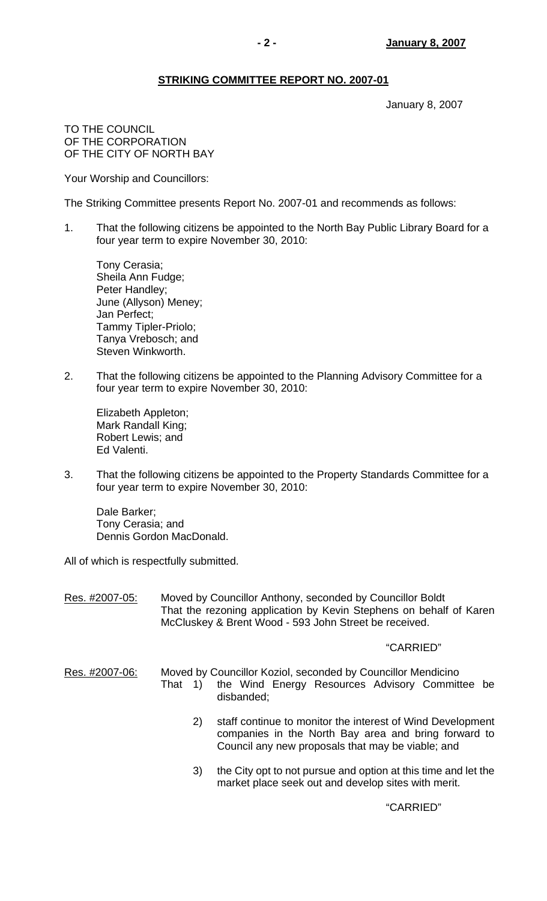## **STRIKING COMMITTEE REPORT NO. 2007-01**

January 8, 2007

TO THE COUNCIL OF THE CORPORATION OF THE CITY OF NORTH BAY

Your Worship and Councillors:

The Striking Committee presents Report No. 2007-01 and recommends as follows:

1. That the following citizens be appointed to the North Bay Public Library Board for a four year term to expire November 30, 2010:

 Tony Cerasia; Sheila Ann Fudge; Peter Handley; June (Allyson) Meney; Jan Perfect; Tammy Tipler-Priolo; Tanya Vrebosch; and Steven Winkworth.

2. That the following citizens be appointed to the Planning Advisory Committee for a four year term to expire November 30, 2010:

 Elizabeth Appleton; Mark Randall King; Robert Lewis; and Ed Valenti.

3. That the following citizens be appointed to the Property Standards Committee for a four year term to expire November 30, 2010:

 Dale Barker; Tony Cerasia; and Dennis Gordon MacDonald.

All of which is respectfully submitted.

Res. #2007-05: Moved by Councillor Anthony, seconded by Councillor Boldt That the rezoning application by Kevin Stephens on behalf of Karen McCluskey & Brent Wood - 593 John Street be received.

### "CARRIED"

- Res. #2007-06: Moved by Councillor Koziol, seconded by Councillor Mendicino That 1) the Wind Energy Resources Advisory Committee be disbanded;
	- 2) staff continue to monitor the interest of Wind Development companies in the North Bay area and bring forward to Council any new proposals that may be viable; and
	- 3) the City opt to not pursue and option at this time and let the market place seek out and develop sites with merit.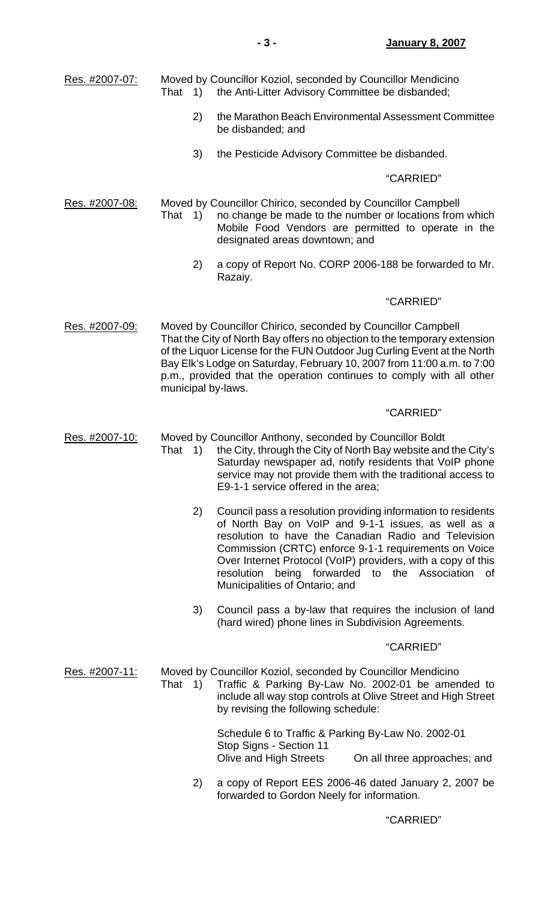| Res. #2007-07:        | That<br>1)                                              | Moved by Councillor Koziol, seconded by Councillor Mendicino<br>the Anti-Litter Advisory Committee be disbanded;                                                                                                                                                                                                                                                                              |
|-----------------------|---------------------------------------------------------|-----------------------------------------------------------------------------------------------------------------------------------------------------------------------------------------------------------------------------------------------------------------------------------------------------------------------------------------------------------------------------------------------|
|                       | 2)                                                      | the Marathon Beach Environmental Assessment Committee<br>be disbanded; and                                                                                                                                                                                                                                                                                                                    |
|                       | 3)                                                      | the Pesticide Advisory Committee be disbanded.                                                                                                                                                                                                                                                                                                                                                |
|                       |                                                         | "CARRIED"                                                                                                                                                                                                                                                                                                                                                                                     |
| Res. #2007-08:        | That<br>1)                                              | Moved by Councillor Chirico, seconded by Councillor Campbell<br>no change be made to the number or locations from which<br>Mobile Food Vendors are permitted to operate in the<br>designated areas downtown; and                                                                                                                                                                              |
|                       | 2)                                                      | a copy of Report No. CORP 2006-188 be forwarded to Mr.<br>Razaiy.                                                                                                                                                                                                                                                                                                                             |
|                       |                                                         | "CARRIED"                                                                                                                                                                                                                                                                                                                                                                                     |
| Res. #2007-09:        | municipal by-laws.                                      | Moved by Councillor Chirico, seconded by Councillor Campbell<br>That the City of North Bay offers no objection to the temporary extension<br>of the Liquor License for the FUN Outdoor Jug Curling Event at the North<br>Bay Elk's Lodge on Saturday, February 10, 2007 from 11:00 a.m. to 7:00<br>p.m., provided that the operation continues to comply with all other                       |
|                       |                                                         | "CARRIED"                                                                                                                                                                                                                                                                                                                                                                                     |
| Res. #2007-10:        | $\left( \begin{matrix} 1 \end{matrix} \right)$<br>That  | Moved by Councillor Anthony, seconded by Councillor Boldt<br>the City, through the City of North Bay website and the City's<br>Saturday newspaper ad, notify residents that VoIP phone<br>service may not provide them with the traditional access to<br>E9-1-1 service offered in the area;                                                                                                  |
|                       | 2)                                                      | Council pass a resolution providing information to residents<br>of North Bay on VoIP and 9-1-1 issues, as well as a<br>resolution to have the Canadian Radio and Television<br>Commission (CRTC) enforce 9-1-1 requirements on Voice<br>Over Internet Protocol (VoIP) providers, with a copy of this<br>being forwarded to the Association of<br>resolution<br>Municipalities of Ontario; and |
|                       | 3)                                                      | Council pass a by-law that requires the inclusion of land<br>(hard wired) phone lines in Subdivision Agreements.                                                                                                                                                                                                                                                                              |
|                       |                                                         | "CARRIED"                                                                                                                                                                                                                                                                                                                                                                                     |
| <u>Res. #2007-11:</u> | That<br>$\left( \begin{array}{c} 1 \end{array} \right)$ | Moved by Councillor Koziol, seconded by Councillor Mendicino<br>Traffic & Parking By-Law No. 2002-01 be amended to<br>include all way stop controls at Olive Street and High Street<br>by revising the following schedule:                                                                                                                                                                    |
|                       |                                                         | Schedule 6 to Traffic & Parking By-Law No. 2002-01<br>Stop Signs - Section 11<br>Olive and High Streets<br>On all three approaches; and                                                                                                                                                                                                                                                       |
|                       | 2)                                                      | a copy of Report EES 2006-46 dated January 2, 2007 be<br>forwarded to Gordon Neely for information.                                                                                                                                                                                                                                                                                           |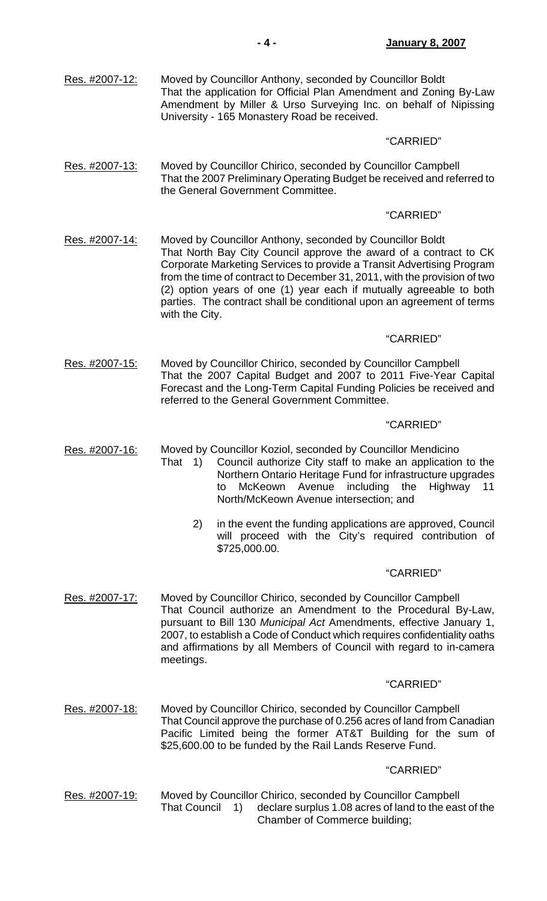| Res. #2007-12: | Moved by Councillor Anthony, seconded by Councillor Boldt<br>That the application for Official Plan Amendment and Zoning By-Law<br>Amendment by Miller & Urso Surveying Inc. on behalf of Nipissing<br>University - 165 Monastery Road be received.                                                                                                                                                                                                    |
|----------------|--------------------------------------------------------------------------------------------------------------------------------------------------------------------------------------------------------------------------------------------------------------------------------------------------------------------------------------------------------------------------------------------------------------------------------------------------------|
|                | "CARRIED"                                                                                                                                                                                                                                                                                                                                                                                                                                              |
| Res. #2007-13: | Moved by Councillor Chirico, seconded by Councillor Campbell<br>That the 2007 Preliminary Operating Budget be received and referred to<br>the General Government Committee.                                                                                                                                                                                                                                                                            |
|                | "CARRIED"                                                                                                                                                                                                                                                                                                                                                                                                                                              |
| Res. #2007-14: | Moved by Councillor Anthony, seconded by Councillor Boldt<br>That North Bay City Council approve the award of a contract to CK<br>Corporate Marketing Services to provide a Transit Advertising Program<br>from the time of contract to December 31, 2011, with the provision of two<br>(2) option years of one (1) year each if mutually agreeable to both<br>parties. The contract shall be conditional upon an agreement of terms<br>with the City. |
|                | "CARRIED"                                                                                                                                                                                                                                                                                                                                                                                                                                              |
| Res. #2007-15: | Moved by Councillor Chirico, seconded by Councillor Campbell<br>That the 2007 Capital Budget and 2007 to 2011 Five-Year Capital<br>Forecast and the Long-Term Capital Funding Policies be received and<br>referred to the General Government Committee.                                                                                                                                                                                                |
|                | "CARRIED"                                                                                                                                                                                                                                                                                                                                                                                                                                              |
| Res. #2007-16: | Moved by Councillor Koziol, seconded by Councillor Mendicino<br>Council authorize City staff to make an application to the<br>That 1)<br>Northern Ontario Heritage Fund for infrastructure upgrades<br>including<br>the<br><b>McKeown</b><br>Avenue<br>Highway<br>11<br>to<br>North/McKeown Avenue intersection; and                                                                                                                                   |
|                | 2)<br>in the event the funding applications are approved, Council<br>will proceed with the City's required contribution of<br>\$725,000.00.                                                                                                                                                                                                                                                                                                            |
|                | "CARRIED"                                                                                                                                                                                                                                                                                                                                                                                                                                              |
| Res. #2007-17: | Moved by Councillor Chirico, seconded by Councillor Campbell<br>That Council authorize an Amendment to the Procedural By-Law,<br>pursuant to Bill 130 Municipal Act Amendments, effective January 1,<br>2007, to establish a Code of Conduct which requires confidentiality oaths<br>and affirmations by all Members of Council with regard to in-camera<br>meetings.                                                                                  |
|                | "CARRIED"                                                                                                                                                                                                                                                                                                                                                                                                                                              |
| Res. #2007-18: | Moved by Councillor Chirico, seconded by Councillor Campbell<br>That Council approve the purchase of 0.256 acres of land from Canadian<br>Pacific Limited being the former AT&T Building for the sum of<br>\$25,600.00 to be funded by the Rail Lands Reserve Fund.                                                                                                                                                                                    |
|                | "CARRIED"                                                                                                                                                                                                                                                                                                                                                                                                                                              |
| Res. #2007-19: | Moved by Councillor Chirico, seconded by Councillor Campbell<br><b>That Council</b><br>declare surplus 1.08 acres of land to the east of the<br>1)<br>Chamber of Commerce building;                                                                                                                                                                                                                                                                    |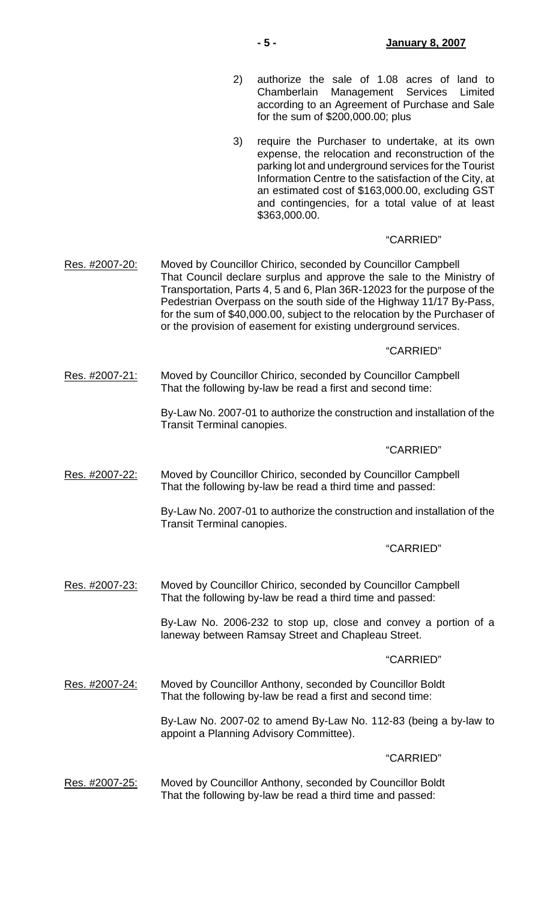- 2) authorize the sale of 1.08 acres of land to Chamberlain Management Services Limited according to an Agreement of Purchase and Sale for the sum of \$200,000.00; plus
- 3) require the Purchaser to undertake, at its own expense, the relocation and reconstruction of the parking lot and underground services for the Tourist Information Centre to the satisfaction of the City, at an estimated cost of \$163,000.00, excluding GST and contingencies, for a total value of at least \$363,000.00.

### "CARRIED"

Res. #2007-20: Moved by Councillor Chirico, seconded by Councillor Campbell That Council declare surplus and approve the sale to the Ministry of Transportation, Parts 4, 5 and 6, Plan 36R-12023 for the purpose of the Pedestrian Overpass on the south side of the Highway 11/17 By-Pass, for the sum of \$40,000.00, subject to the relocation by the Purchaser of or the provision of easement for existing underground services.

### "CARRIED"

Res. #2007-21: Moved by Councillor Chirico, seconded by Councillor Campbell That the following by-law be read a first and second time:

> By-Law No. 2007-01 to authorize the construction and installation of the Transit Terminal canopies.

### "CARRIED"

Res. #2007-22: Moved by Councillor Chirico, seconded by Councillor Campbell That the following by-law be read a third time and passed:

> By-Law No. 2007-01 to authorize the construction and installation of the Transit Terminal canopies.

### "CARRIED"

Res. #2007-23: Moved by Councillor Chirico, seconded by Councillor Campbell That the following by-law be read a third time and passed:

> By-Law No. 2006-232 to stop up, close and convey a portion of a laneway between Ramsay Street and Chapleau Street.

### "CARRIED"

Res. #2007-24: Moved by Councillor Anthony, seconded by Councillor Boldt That the following by-law be read a first and second time:

> By-Law No. 2007-02 to amend By-Law No. 112-83 (being a by-law to appoint a Planning Advisory Committee).

### "CARRIED"

Res. #2007-25: Moved by Councillor Anthony, seconded by Councillor Boldt That the following by-law be read a third time and passed: